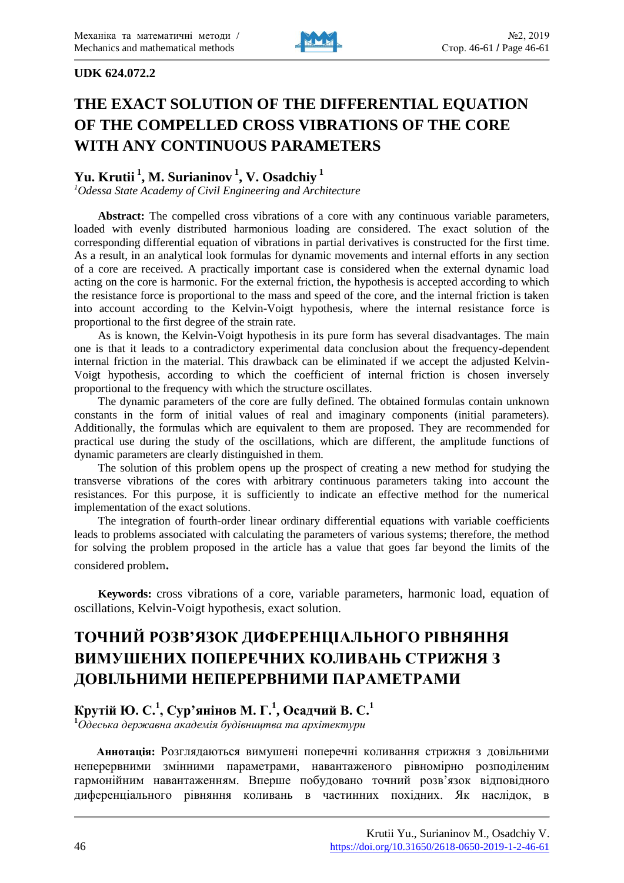

### **UDK 624.072.2**

# **THE EXACT SOLUTION OF THE DIFFERENTIAL EQUATION OF THE COMPELLED CROSS VIBRATIONS OF THE CORE WITH ANY CONTINUOUS PARAMETERS**

# **Yu. Krutii <sup>1</sup> , M. Surianinov <sup>1</sup> , V. Osadchiy <sup>1</sup>**

*<sup>1</sup>Odessa State Academy of Civil Engineering and Architecture*

Abstract: The compelled cross vibrations of a core with any continuous variable parameters, loaded with evenly distributed harmonious loading are considered. The exact solution of the corresponding differential equation of vibrations in partial derivatives is constructed for the first time. As a result, in an analytical look formulas for dynamic movements and internal efforts in any section of a core are received. A practically important case is considered when the external dynamic load acting on the core is harmonic. For the external friction, the hypothesis is accepted according to which the resistance force is proportional to the mass and speed of the core, and the internal friction is taken into account according to the Kelvin-Voigt hypothesis, where the internal resistance force is proportional to the first degree of the strain rate.

As is known, the Kelvin-Voigt hypothesis in its pure form has several disadvantages. The main one is that it leads to a contradictory experimental data conclusion about the frequency-dependent internal friction in the material. This drawback can be eliminated if we accept the adjusted Kelvin-Voigt hypothesis, according to which the coefficient of internal friction is chosen inversely proportional to the frequency with which the structure oscillates.

The dynamic parameters of the core are fully defined. The obtained formulas contain unknown constants in the form of initial values of real and imaginary components (initial parameters). Additionally, the formulas which are equivalent to them are proposed. They are recommended for practical use during the study of the oscillations, which are different, the amplitude functions of dynamic parameters are clearly distinguished in them.

The solution of this problem opens up the prospect of creating a new method for studying the transverse vibrations of the cores with arbitrary continuous parameters taking into account the resistances. For this purpose, it is sufficiently to indicate an effective method for the numerical implementation of the exact solutions.

The integration of fourth-order linear ordinary differential equations with variable coefficients leads to problems associated with calculating the parameters of various systems; therefore, the method for solving the problem proposed in the article has a value that goes far beyond the limits of the considered problem.

**Keywords:** cross vibrations of a core, variable parameters, harmonic load, equation of oscillations, Kelvin-Voigt hypothesis, exact solution.

# **ТОЧНИЙ РОЗВ'ЯЗОК ДИФЕРЕНЦІАЛЬНОГО РІВНЯННЯ ВИМУШЕНИХ ПОПЕРЕЧНИХ КОЛИВАНЬ СТРИЖНЯ З ДОВІЛЬНИМИ НЕПЕРЕРВНИМИ ПАРАМЕТРАМИ**

# **Крутій Ю. С.<sup>1</sup> , Сур'янінов М. Г.<sup>1</sup> , Осадчий В. С.<sup>1</sup>**

**<sup>1</sup>***Одеська державна академія будівництва та архітектури*

**Аннотація:** Розглядаються вимушені поперечні коливання стрижня з довільними неперервними змінними параметрами, навантаженого рівномірно розподіленим гармонійним навантаженням. Вперше побудовано точний розв'язок відповідного диференціального рівняння коливань в частинних похідних. Як наслідок, в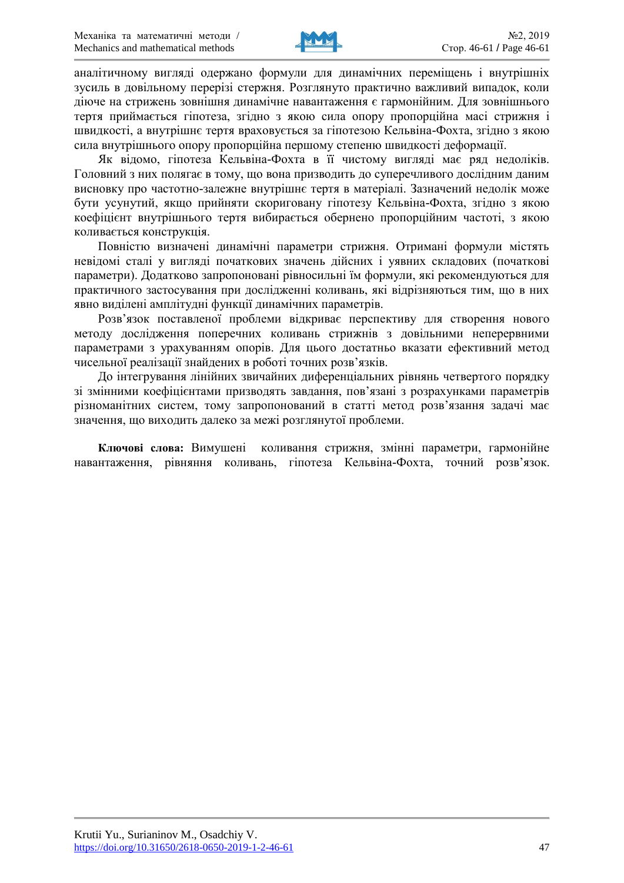

аналітичному вигляді одержано формули для динамічних переміщень і внутрішніх зусиль в довільному перерізі стержня. Розглянуто практично важливий випадок, коли діюче на стрижень зовнішня динамічне навантаження є гармонійним. Для зовнішнього тертя приймається гіпотеза, згідно з якою сила опору пропорційна масі стрижня і швидкості, а внутрішнє тертя враховується за гіпотезою Кельвіна-Фохта, згідно з якою сила внутрішнього опору пропорційна першому степеню швидкості деформації.

Як відомо, гіпотеза Кельвіна-Фохта в її чистому вигляді має ряд недоліків. Головний з них полягає в тому, що вона призводить до суперечливого дослідним даним висновку про частотно-залежне внутрішнє тертя в матеріалі. Зазначений недолік може бути усунутий, якщо прийняти скориговану гіпотезу Кельвіна-Фохта, згідно з якою коефіцієнт внутрішнього тертя вибирається обернено пропорційним частоті, з якою коливається конструкція.

Повністю визначені динамічні параметри стрижня. Отримані формули містять невідомі сталі у вигляді початкових значень дійсних і уявних складових (початкові параметри). Додатково запропоновані рівносильні їм формули, які рекомендуються для практичного застосування при дослідженні коливань, які відрізняються тим, що в них явно виділені амплітудні функції динамічних параметрів.

Розв'язок поставленої проблеми відкриває перспективу для створення нового методу дослідження поперечних коливань стрижнів з довільними неперервними параметрами з урахуванням опорів. Для цього достатньо вказати ефективний метод чисельної реалізації знайдених в роботі точних розв'язків.

До інтегрування лінійних звичайних диференціальних рівнянь четвертого порядку зі змінними коефіцієнтами призводять завдання, пов'язані з розрахунками параметрів різноманітних систем, тому запропонований в статті метод розв'язання задачі має значення, що виходить далеко за межі розглянутої проблеми.

**Ключові слова:** Вимушені коливання стрижня, змінні параметри, гармонійне навантаження, рівняння коливань, гіпотеза Кельвіна-Фохта, точний розв'язок.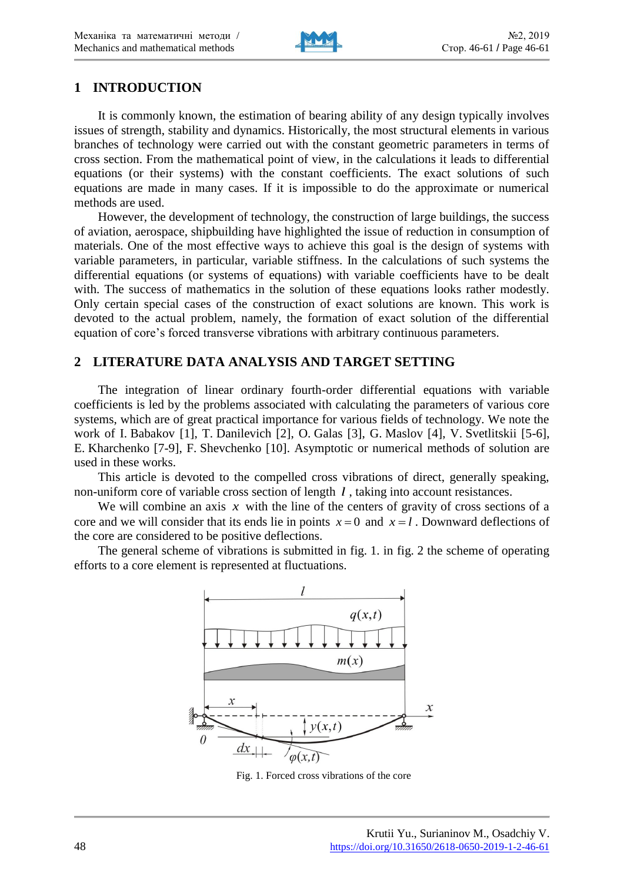

## **1 INTRODUCTION**

It is commonly known, the estimation of bearing ability of any design typically involves issues of strength, stability and dynamics. Historically, the most structural elements in various branches of technology were carried out with the constant geometric parameters in terms of cross section. From the mathematical point of view, in the calculations it leads to differential equations (or their systems) with the constant coefficients. The exact solutions of such equations are made in many cases. If it is impossible to do the approximate or numerical methods are used.

However, the development of technology, the construction of large buildings, the success of aviation, aerospace, shipbuilding have highlighted the issue of reduction in consumption of materials. One of the most effective ways to achieve this goal is the design of systems with variable parameters, in particular, variable stiffness. In the calculations of such systems the differential equations (or systems of equations) with variable coefficients have to be dealt with. The success of mathematics in the solution of these equations looks rather modestly. Only certain special cases of the construction of exact solutions are known. This work is devoted to the actual problem, namely, the formation of exact solution of the differential equation of core's forced transverse vibrations with arbitrary continuous parameters.

# **2 LITERATURE DATA ANALYSIS AND TARGET SETTING**

The integration of linear ordinary fourth-order differential equations with variable coefficients is led by the problems associated with calculating the parameters of various core systems, which are of great practical importance for various fields of technology. We note the work of I. Babakov [1], T. Danilevich [2], O. Galas [3], G. Maslov [4], V. Svetlitskii [5-6], E. Kharchenko [7-9], F. Shevchenko [10]. Asymptotic or numerical methods of solution are used in these works.

This article is devoted to the compelled cross vibrations of direct, generally speaking, non-uniform core of variable cross section of length *l* , taking into account resistances.

We will combine an axis  $x$  with the line of the centers of gravity of cross sections of a core and we will consider that its ends lie in points  $x = 0$  and  $x = l$ . Downward deflections of the core are considered to be positive deflections.

The general scheme of vibrations is submitted in fig. 1. in fig. 2 the scheme of operating efforts to a core element is represented at fluctuations.



Fig. 1. Forced cross vibrations of the core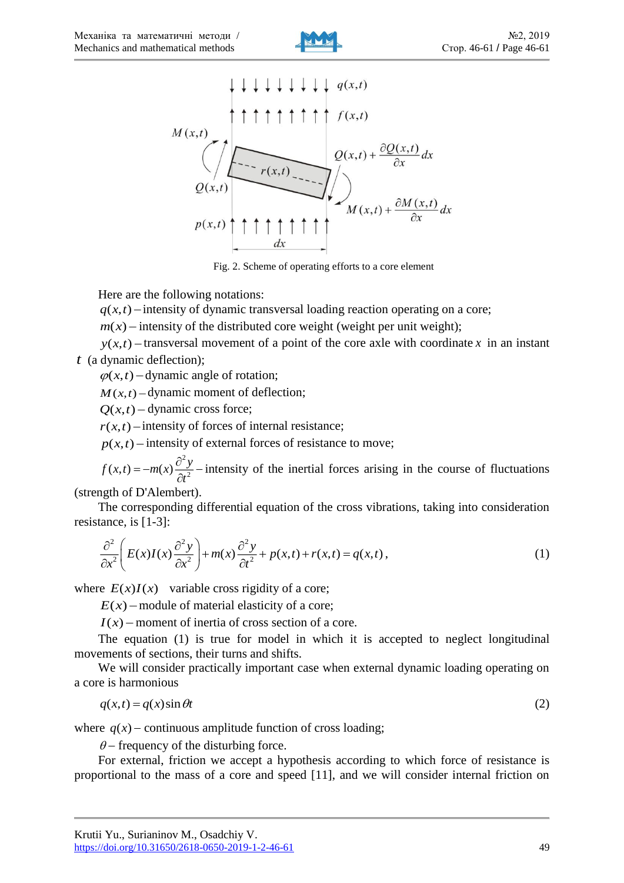



Fig. 2. Scheme of operating efforts to a core element

Here are the following notations:

 $q(x,t)$  – intensity of dynamic transversal loading reaction operating on a core;

 $m(x)$  – intensity of the distributed core weight (weight per unit weight);

 $y(x,t)$  – transversal movement of a point of the core axle with coordinate x in an instant *t* (a dynamic deflection);

 $\varphi(x, t)$  – dynamic angle of rotation;

 $M(x,t)$  – dynamic moment of deflection;

 $Q(x,t)$  – dynamic cross force;

 $r(x,t)$  – intensity of forces of internal resistance;

 $p(x,t)$  – intensity of external forces of resistance to move;

2  $f(x,t) = -m(x)\frac{\partial^2 y}{\partial t^2}$  $=-m(x)\frac{\partial^2 y}{\partial t^2}$  -intensity of the inertial forces arising in the course of fluctuations

(strength of D'Alembert).

The corresponding differential equation of the cross vibrations, taking into consideration resistance, is [1-3]:

$$
\frac{\partial^2}{\partial x^2} \left( E(x)I(x) \frac{\partial^2 y}{\partial x^2} \right) + m(x) \frac{\partial^2 y}{\partial t^2} + p(x,t) + r(x,t) = q(x,t),
$$
\n(1)

where  $E(x)I(x)$  variable cross rigidity of a core;

 $E(x)$  – module of material elasticity of a core;

 $I(x)$  – moment of inertia of cross section of a core.

The equation (1) is true for model in which it is accepted to neglect longitudinal movements of sections, their turns and shifts.

We will consider practically important case when external dynamic loading operating on a core is harmonious

$$
q(x,t) = q(x)\sin\theta t\tag{2}
$$

where  $q(x)$  – continuous amplitude function of cross loading;

 $\theta$  – frequency of the disturbing force.

For external, friction we accept a hypothesis according to which force of resistance is proportional to the mass of a core and speed [11], and we will consider internal friction on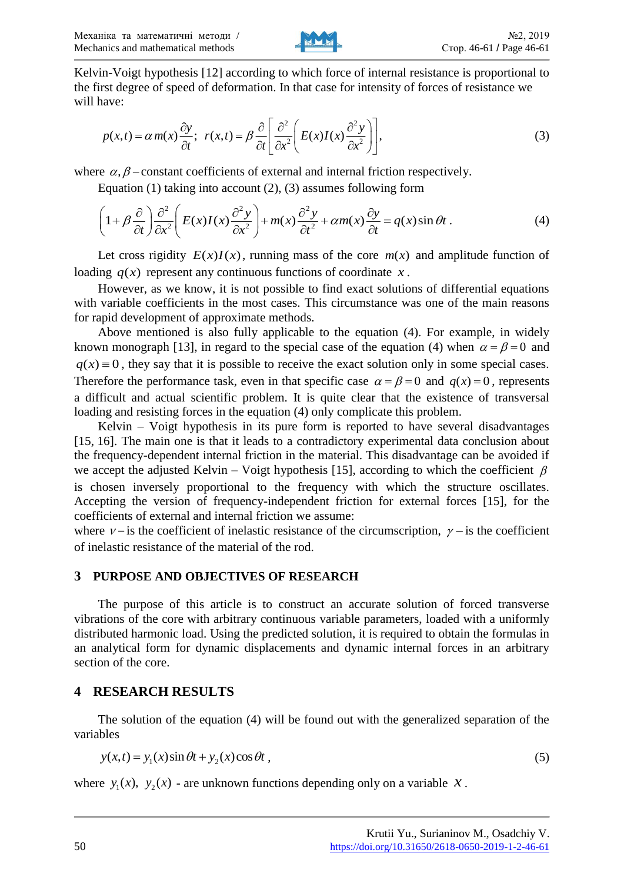

Kelvin-Voigt hypothesis [12] according to which force of internal resistance is proportional to the first degree of speed of deformation. In that case for intensity of forces of resistance we will have:

$$
p(x,t) = \alpha m(x) \frac{\partial y}{\partial t}; \ \ r(x,t) = \beta \frac{\partial}{\partial t} \left[ \frac{\partial^2}{\partial x^2} \left( E(x)I(x) \frac{\partial^2 y}{\partial x^2} \right) \right],\tag{3}
$$

Equation (1) taking into account (2), (3) assumes following form<br>  $\left( \begin{array}{cc} 2 & \partial \end{array} \right) \frac{\partial^2}{\partial y^2} \left( \begin{array}{cc} 2 & \partial \end{array} \right) \frac{\partial^2}{\partial y^2} \left( \begin{array}{cc} 2 & \partial \end{array} \right)$ 

where 
$$
\alpha
$$
,  $\beta$  - constant coefficients of external and internal friction respectively.  
Equation (1) taking into account (2), (3) assumes following form  

$$
\left(1 + \beta \frac{\partial}{\partial t}\right) \frac{\partial^2}{\partial x^2} \left(E(x)I(x)\frac{\partial^2 y}{\partial x^2}\right) + m(x)\frac{\partial^2 y}{\partial t^2} + \alpha m(x)\frac{\partial y}{\partial t} = q(x)\sin \theta t.
$$
 (4)

Let cross rigidity  $E(x)I(x)$ , running mass of the core  $m(x)$  and amplitude function of loading  $q(x)$  represent any continuous functions of coordinate x.

However, as we know, it is not possible to find exact solutions of differential equations with variable coefficients in the most cases. This circumstance was one of the main reasons for rapid development of approximate methods.

Above mentioned is also fully applicable to the equation (4). For example, in widely known monograph [13], in regard to the special case of the equation (4) when  $\alpha = \beta = 0$  and  $q(x) \equiv 0$ , they say that it is possible to receive the exact solution only in some special cases. Therefore the performance task, even in that specific case  $\alpha = \beta = 0$  and  $q(x) = 0$ , represents a difficult and actual scientific problem. It is quite clear that the existence of transversal loading and resisting forces in the equation (4) only complicate this problem.

Kelvin – Voigt hypothesis in its pure form is reported to have several disadvantages [15, 16]. The main one is that it leads to a contradictory experimental data conclusion about the frequency-dependent internal friction in the material. This disadvantage can be avoided if we accept the adjusted Kelvin – Voigt hypothesis [15], according to which the coefficient  $\beta$ is chosen inversely proportional to the frequency with which the structure oscillates. Accepting the version of frequency-independent friction for external forces [15], for the coefficients of external and internal friction we assume:

where  $\nu$ - is the coefficient of inelastic resistance of the circumscription,  $\nu$ - is the coefficient of inelastic resistance of the material of the rod.

### **3 PURPOSE AND OBJECTIVES OF RESEARCH**

The purpose of this article is to construct an accurate solution of forced transverse vibrations of the core with arbitrary continuous variable parameters, loaded with a uniformly distributed harmonic load. Using the predicted solution, it is required to obtain the formulas in an analytical form for dynamic displacements and dynamic internal forces in an arbitrary section of the core.

## **4 RESEARCH RESULTS**

The solution of the equation (4) will be found out with the generalized separation of the variables

$$
y(x,t) = y_1(x)\sin\theta t + y_2(x)\cos\theta t,\tag{5}
$$

where  $y_1(x)$ ,  $y_2(x)$  - are unknown functions depending only on a variable x.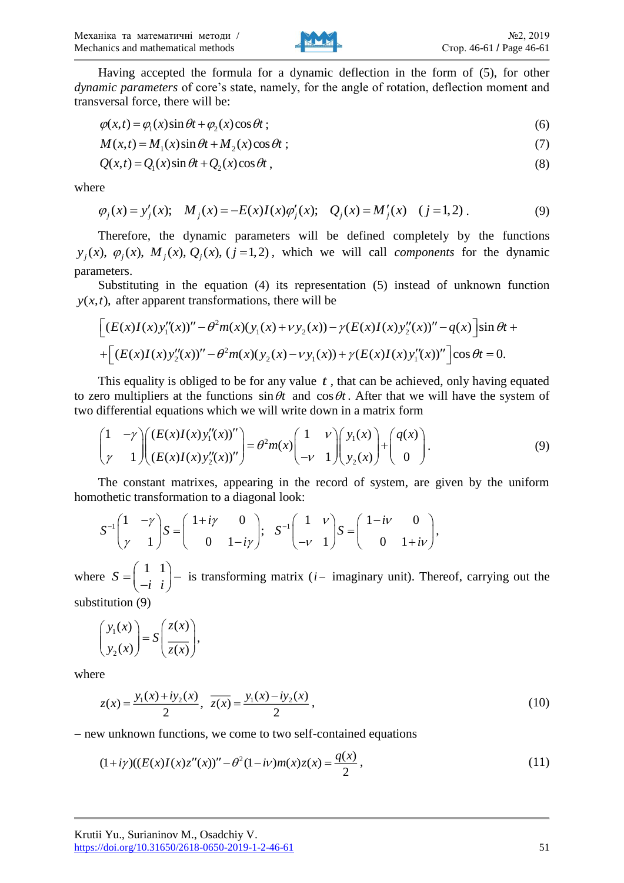

Having accepted the formula for a dynamic deflection in the form of (5), for other *dynamic parameters* of core's state, namely, for the angle of rotation, deflection moment and transversal force, there will be:

$$
\varphi(x,t) = \varphi_1(x)\sin\theta t + \varphi_2(x)\cos\theta t\tag{6}
$$

$$
M(x,t) = M_1(x)\sin\theta t + M_2(x)\cos\theta t \tag{7}
$$

$$
Q(x,t) = Q_1(x)\sin\theta t + Q_2(x)\cos\theta t\,,\tag{8}
$$

where

$$
\varphi_j(x) = y'_j(x);
$$
  $M_j(x) = -E(x)I(x)\varphi'_j(x);$   $Q_j(x) = M'_j(x)$   $(j = 1, 2).$  (9)

Therefore, the dynamic parameters will be defined completely by the functions  $y_j(x)$ ,  $\varphi_j(x)$ ,  $M_j(x)$ ,  $Q_j(x)$ ,  $(j=1,2)$ , which we will call *components* for the dynamic parameters.

Substituting in the equation (4) its representation (5) instead of unknown function  $y(x,t)$ , after apparent transformations, there will be

$$
\[ (E(x)I(x)y_1''(x))'' - \theta^2 m(x)(y_1(x) + vy_2(x)) - \gamma (E(x)I(x)y_2''(x))'' - q(x) \] \sin \theta t +
$$
  
+ 
$$
\[ (E(x)I(x)y_2''(x))'' - \theta^2 m(x)(y_2(x) - vy_1(x)) + \gamma (E(x)I(x)y_1''(x))'' \] \cos \theta t = 0.
$$

This equality is obliged to be for any value  $t$ , that can be achieved, only having equated to zero multipliers at the functions  $\sin \theta t$  and  $\cos \theta t$ . After that we will have the system of two differential equations which we will write down in a matrix form

$$
\begin{pmatrix} 1 & -\gamma \\ \gamma & 1 \end{pmatrix} \begin{pmatrix} (E(x)I(x)y_1''(x))'' \\ (E(x)I(x)y_2''(x))'' \end{pmatrix} = \theta^2 m(x) \begin{pmatrix} 1 & \nu \\ -\nu & 1 \end{pmatrix} \begin{pmatrix} y_1(x) \\ y_2(x) \end{pmatrix} + \begin{pmatrix} q(x) \\ 0 \end{pmatrix}.
$$
 (9)

The constant matrixes, appearing in the record of system, are given by the uniform othetic transformation to a diagonal look:<br> $S^{-1}\begin{pmatrix} 1 & -\gamma \\ 0 & 0 \end{pmatrix}$ ,  $S^{-1}\begin{pmatrix} 1 & \nu \\ 0 & 0 \end{pmatrix}$ ,  $S^{-1}\begin{pmatrix} 1 & \nu \\ 0 & 0 \end{pmatrix}$ ,

homothetic transformation to a diagonal look:  
\n
$$
S^{-1}\begin{pmatrix} 1 & -\gamma \\ \gamma & 1 \end{pmatrix} S = \begin{pmatrix} 1 + i\gamma & 0 \\ 0 & 1 - i\gamma \end{pmatrix}; \quad S^{-1}\begin{pmatrix} 1 & \nu \\ -\nu & 1 \end{pmatrix} S = \begin{pmatrix} 1 - i\nu & 0 \\ 0 & 1 + i\nu \end{pmatrix},
$$

where  $S = \begin{pmatrix} 1 & 1 \\ 1 & 1 \end{pmatrix}$ *i i*  $(1\;1)$  $=\begin{pmatrix} 1 & 1 \\ -i & i \end{pmatrix}$  is transforming matrix (*i* – imaginary unit). Thereof, carrying out the

substitution (9)

$$
\begin{pmatrix} y_1(x) \\ y_2(x) \end{pmatrix} = S \begin{pmatrix} z(x) \\ \overline{z(x)} \end{pmatrix},
$$

where

$$
z(x) = \frac{y_1(x) + iy_2(x)}{2}, \ \overline{z(x)} = \frac{y_1(x) - iy_2(x)}{2}, \tag{10}
$$

- new unknown functions, we come to two self-contained equations

$$
(1+i\gamma)((E(x)I(x)z''(x))'' - \theta^2(1-i\nu)m(x)z(x) = \frac{q(x)}{2},
$$
\n(11)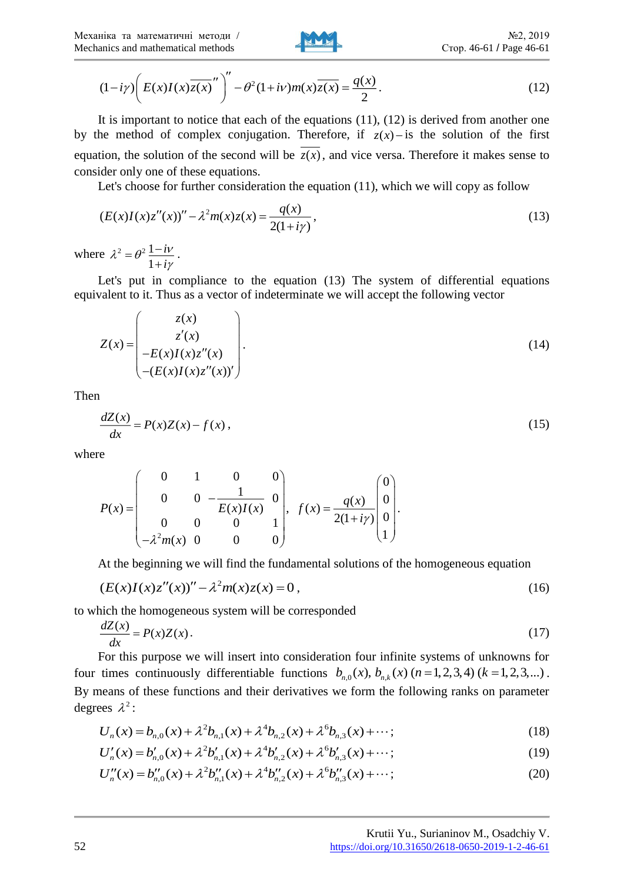

Mechanics and mathematical methods  
\n
$$
\text{Crop. } 46-61 / \text{ Page } 46-61
$$
\n
$$
(1-i\gamma) \left( E(x)I(x)\overline{z(x)}'' \right)'' - \theta^2 (1+i\nu)m(x)\overline{z(x)} = \frac{q(x)}{2}.
$$
\n(12)

It is important to notice that each of the equations (11), (12) is derived from another one by the method of complex conjugation. Therefore, if  $z(x)$  - is the solution of the first equation, the solution of the second will be  $z(x)$ , and vice versa. Therefore it makes sense to consider only one of these equations.

Let's choose for further consideration the equation (11), which we will copy as follow

$$
(E(x)I(x)z''(x))'' - \lambda^2 m(x)z(x) = \frac{q(x)}{2(1+i\gamma)},
$$
\n(13)

where  $\lambda^2 = \theta^2 \frac{1}{\lambda}$ 1 *i i*  $\lambda^2 = \theta^2 \frac{1 - i \nu}{\sigma^2}$ !Y  $=\theta^2\frac{1-\ }{2\ \ }$  $\ddot{}$ .

Let's put in compliance to the equation (13) The system of differential equations equivalent to it. Thus as a vector of indeterminate we will accept the following vector

Mechaners and mathematical methods  
\n
$$
(1-i*r*)\left( *E*(*x*)*I*(*x*)*z*(*x*)<sup>-1</sup> <sup>2</sup> <sup>0</sup> <sup>0</sup> <sup>1</sup> <sup>0</sup> <sup>0</sup> <sup>1</sup> <sup>0</sup> <sup>0</sup> <sup>1</sup> <sup>0</sup> <sup>1</sup> <sup>0</sup> <sup>0</sup> <sup>1</sup> <sup>0</sup> <sup>0</sup> <sup>1</sup> <sup>0</sup> <sup>0</sup> <sup>0</sup> <sup>0</sup> <sup>0</sup> <sup>0</sup> <sup>0</sup> <sup>0</sup> <sup>0</sup> <sup>0</sup> <sup>0</sup> <sup>0</sup> <sup>0</sup> <sup>0</sup> <sup>0</sup> <sup>0</sup> <sup>0</sup> <sup>0</sup> <sup>0</sup> <sup>0</sup> <sup>0</sup> <sup>0</sup> <sup>0</sup> <sup>0</sup> <sup>0</sup> <sup>0</sup> <sup>0</sup> <sup>0</sup> <sup>0</sup> <sup>0</sup> <sup>0</sup> <sup>0</sup> <sup>0</sup> <sup>0</sup> <sup>0</sup> <sup>0</sup> <sup>0</sup> <sup>0</sup> <sup>0</sup> <sup>0</sup> <sup>0</sup> <sup>0</sup> <sup>0</sup> <sup>0</sup> <sup>0</sup> <sup>0</sup> <sup>0</sup> <sup>0</sup> <sup>0</sup> <sup>0</sup> <sup>0</sup> <sup>0</sup> <sup>0</sup> <sup>0</sup> <sup>0</sup> <sup>0</sup> <sup>0</sup> <sup>0</sup> <sup>0</sup> <sup>0</sup> <sup>0</sup> <sup>0</sup> <sup>0</sup> <sup>0</sup> <sup>0</sup> <sup>0</sup> <sup>0</sup> <sup>0</sup> <sup>0</sup> <sup>0</sup> <sup>0</sup> <sup>0</sup> <sup>0</sup> <sup>0</sup> <sup>0</sup> <sup>0</sup> <sup>0</sup> <sup>0</sup> <sup>0</sup> <sup>0</sup>
$$

Then

$$
\frac{dZ(x)}{dx} = P(x)Z(x) - f(x),\tag{15}
$$

where

$$
P(x) = \begin{pmatrix} 0 & 1 & 0 & 0 \\ 0 & 0 & -\frac{1}{E(x)I(x)} & 0 \\ 0 & 0 & 0 & 1 \\ -\lambda^2 m(x) & 0 & 0 & 0 \end{pmatrix}, \quad f(x) = \frac{q(x)}{2(1+i\gamma)} \begin{pmatrix} 0 \\ 0 \\ 0 \\ 1 \end{pmatrix}.
$$

At the beginning we will find the fundamental solutions of the homogeneous equation

$$
(E(x)I(x)z''(x))'' - \lambda^2 m(x)z(x) = 0,
$$
\n(16)

to which the homogeneous system will be corresponded

$$
\frac{dZ(x)}{dx} = P(x)Z(x). \tag{17}
$$

For this purpose we will insert into consideration four infinite systems of unknowns for four times continuously differentiable functions  $b_{n,0}(x)$ ,  $b_{n,k}(x)$   $(n = 1, 2, 3, 4)$   $(k = 1, 2, 3, ...)$ . By means of these functions and their derivatives we form the following ranks on parameter degrees  $\lambda^2$ :

$$
U_n(x) = b_{n,0}(x) + \lambda^2 b_{n,1}(x) + \lambda^4 b_{n,2}(x) + \lambda^6 b_{n,3}(x) + \cdots; \tag{18}
$$

$$
U'_n(x) = b'_{n,0}(x) + \lambda^2 b'_{n,1}(x) + \lambda^4 b'_{n,2}(x) + \lambda^6 b'_{n,3}(x) + \cdots; \tag{19}
$$

$$
U''_n(x) = b''_{n,0}(x) + \lambda^2 b''_{n,1}(x) + \lambda^4 b''_{n,2}(x) + \lambda^6 b''_{n,3}(x) + \cdots; \tag{20}
$$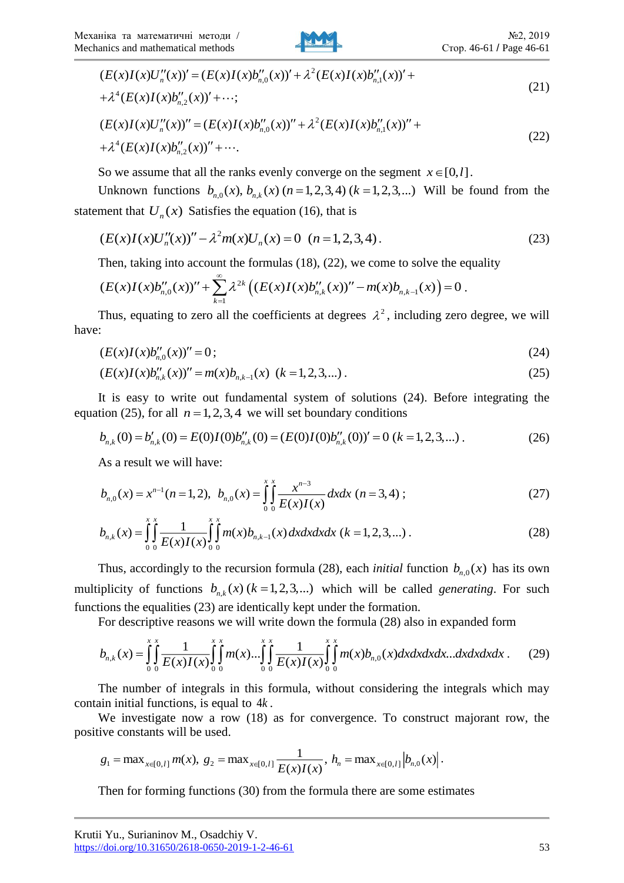

$$
(E(x)I(x)U''_n(x))' = (E(x)I(x)b''_{n,0}(x))' + \lambda^2 (E(x)I(x)b''_{n,1}(x))' ++\lambda^4 (E(x)I(x)b''_{n,2}(x))' + \cdots;
$$
\n(21)

$$
+ \lambda^{4} (E(x)I(x)b''_{n,2}(x))' + \cdots;
$$
\n
$$
(E(x)I(x)U''_{n}(x))'' = (E(x)I(x)b''_{n,0}(x))'' + \lambda^{2} (E(x)I(x)b''_{n,1}(x))'' ++ \lambda^{4} (E(x)I(x)b''_{n,2}(x))'' + \cdots.
$$
\n(22)

So we assume that all the ranks evenly converge on the segment  $x \in [0, l]$ .

Unknown functions  $b_{n,0}(x)$ ,  $b_{n,k}(x)$  ( $n = 1, 2, 3, 4$ ) ( $k = 1, 2, 3,...$ ) *Will be found from the* statement that  $U_n(x)$  Satisfies the equation (16), that is

$$
(E(x)I(x)U''_n(x))'' - \lambda^2 m(x)U_n(x) = 0 \quad (n = 1, 2, 3, 4).
$$
 (23)

Then, taking into account the formulas (18), (22), we come to solve the equality

$$
(E(x)I(x)b''_{n,0}(x))'' + \sum_{k=1}^{\infty} \lambda^{2k} \left( (E(x)I(x)b''_{n,k}(x))'' - m(x)b_{n,k-1}(x) \right) = 0.
$$

Thus, equating to zero all the coefficients at degrees  $\lambda^2$ , including zero degree, we will have:

$$
(E(x)I(x)b''_{n,0}(x))'' = 0;
$$
\n(24)

$$
(E(x)I(x)b''_{n,k}(x))'' = m(x)b_{n,k-1}(x) \ (k=1,2,3,...).
$$
 (25)

It is easy to write out fundamental system of solutions (24). Before integrating the equation (25), for all  $n = 1, 2, 3, 4$  we will set boundary conditions

$$
b_{n,k}(0) = b'_{n,k}(0) = E(0)I(0)b''_{n,k}(0) = (E(0)I(0)b''_{n,k}(0))' = 0 \ (k = 1, 2, 3, ...).
$$
 (26)

As a result we will have:

$$
b_{n,0}(x) = x^{n-1}(n=1,2), \ \ b_{n,0}(x) = \int_0^x \int_0^x \frac{x^{n-3}}{E(x)I(x)} dx dx \ (n=3,4) \ ; \tag{27}
$$

$$
b_{n,k}(x) = \int_{0}^{x} \int_{0}^{x} \frac{1}{E(x)I(x)} \int_{0}^{x} \int_{0}^{x} m(x) b_{n,k-1}(x) dx dx dx dx \ (k = 1, 2, 3, ...)
$$
 (28)

Thus, accordingly to the recursion formula (28), each *initial* function  $b_{n,0}(x)$  has its own multiplicity of functions  $b_{n,k}(x)$  ( $k = 1, 2, 3,...$ ) which will be called *generating*. For such functions the equalities (23) are identically kept under the formation.

For descriptive reasons we will write down the formula (28) also in expanded form

$$
b_{n,k}(x) = \int_0^x \int_0^x \frac{1}{E(x)I(x)} \int_0^x \int_0^x m(x) \dots \int_0^x \int_0^x \frac{1}{E(x)I(x)} \int_0^x \int_0^x m(x) b_{n,0}(x) dx dx dx dx \dots dx dx dx dx.
$$
 (29)

The number of integrals in this formula, without considering the integrals which may contain initial functions, is equal to <sup>4</sup>*k* .

We investigate now a row (18) as for convergence. To construct majorant row, the positive constants will be used.

$$
g_1 = \max_{x \in [0, l]} m(x), g_2 = \max_{x \in [0, l]} \frac{1}{E(x)I(x)}, h_n = \max_{x \in [0, l]} |b_{n,0}(x)|.
$$

Then for forming functions (30) from the formula there are some estimates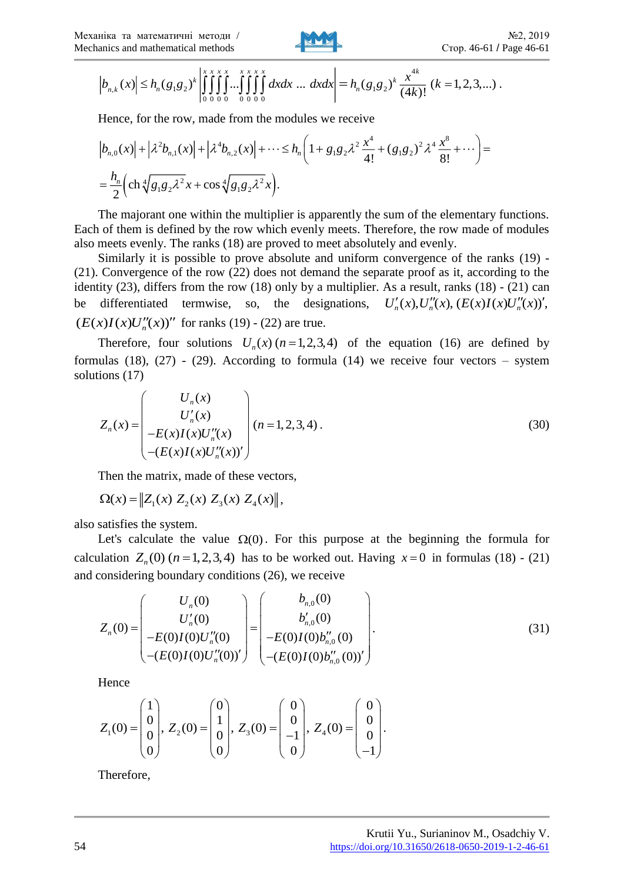

$$
\left|b_{n,k}(x)\right| \leq h_n(g_1g_2)^k \left| \int_{0}^{x} \int_{0}^{x} \int_{0}^{x} \int_{0}^{x} \int_{0}^{x} \int_{0}^{x} dx dx \dots dx dx \right| = h_n(g_1g_2)^k \frac{x^{4k}}{(4k)!} (k = 1, 2, 3, \dots).
$$

Hence, for the row, made from the modules we receive

$$
\begin{split} &\left|b_{n,0}(x)\right|+\left|\lambda^{2}b_{n,1}(x)\right|+\left|\lambda^{4}b_{n,2}(x)\right|+\cdots\leq h_{n}\left(1+g_{1}g_{2}\lambda^{2}\frac{x^{4}}{4!}+(g_{1}g_{2})^{2}\lambda^{4}\frac{x^{8}}{8!}+\cdots\right)=\\ &=\frac{h_{n}}{2}\left(\operatorname{ch}^{4}\sqrt{g_{1}g_{2}\lambda^{2}}x+\cos\sqrt[4]{g_{1}g_{2}\lambda^{2}}x\right). \end{split}
$$

The majorant one within the multiplier is apparently the sum of the elementary functions. Each of them is defined by the row which evenly meets. Therefore, the row made of modules also meets evenly. The ranks (18) are proved to meet absolutely and evenly.

Similarly it is possible to prove absolute and uniform convergence of the ranks (19) - (21). Convergence of the row (22) does not demand the separate proof as it, according to the identity (23), differs from the row (18) only by a multiplier. As a result, ranks (18) - (21) can be differentiated termwise, so, As a result, ranks (18) - (21) can<br> $U'_n(x), U''_n(x), (E(x)I(x)U''_n(x))',$  $(E(x)I(x)U''_n(x))''$  for ranks (19) - (22) are true.

Therefore, four solutions  $U_n(x)$  ( $n = 1,2,3,4$ ) of the equation (16) are defined by formulas  $(18)$ ,  $(27)$  -  $(29)$ . According to formula  $(14)$  we receive four vectors – system solutions (17)

$$
Z_n(x) = \begin{pmatrix} U_n(x) \\ U'_n(x) \\ -E(x)I(x)U''_n(x) \\ -(E(x)I(x)U''_n(x))' \end{pmatrix} (n=1,2,3,4).
$$
 (30)

Then the matrix, made of these vectors,

$$
\Omega(x) = \|Z_1(x) Z_2(x) Z_3(x) Z_4(x)\|,
$$

also satisfies the system.

Let's calculate the value  $\Omega(0)$ . For this purpose at the beginning the formula for calculation  $Z_n(0)$  ( $n = 1, 2, 3, 4$ ) has to be worked out. Having  $x = 0$  in formulas (18) - (21)

and considering boundary conditions (26), we receive  
\n
$$
Z_n(0) = \begin{pmatrix} U_n(0) \\ U'_n(0) \\ -E(0)I(0)U''_n(0) \\ -(E(0)I(0)U''_n(0))' \end{pmatrix} = \begin{pmatrix} b_{n,0}(0) \\ b'_{n,0}(0) \\ -E(0)I(0)b''_{n,0}(0) \\ -(E(0)I(0)b''_{n,0}(0))' \end{pmatrix}.
$$
\n(31)

Hence

$$
Z_1(0) = \begin{pmatrix} 1 \\ 0 \\ 0 \\ 0 \end{pmatrix}, Z_2(0) = \begin{pmatrix} 0 \\ 1 \\ 0 \\ 0 \end{pmatrix}, Z_3(0) = \begin{pmatrix} 0 \\ 0 \\ -1 \\ 0 \end{pmatrix}, Z_4(0) = \begin{pmatrix} 0 \\ 0 \\ 0 \\ -1 \end{pmatrix}.
$$

Therefore,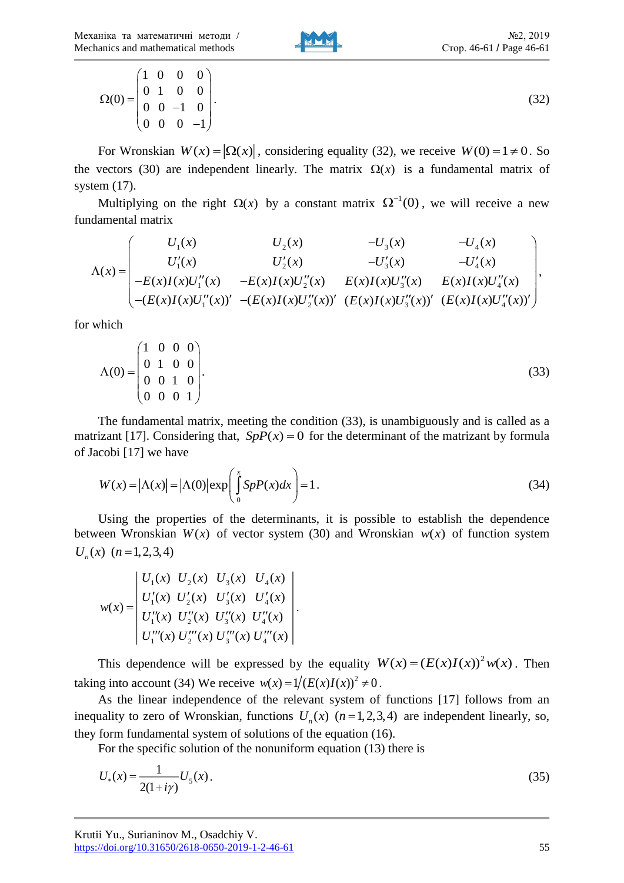Механіка та математичні методи / Mechanics and mathematical methods



$$
\Omega(0) = \begin{pmatrix} 1 & 0 & 0 & 0 \\ 0 & 1 & 0 & 0 \\ 0 & 0 & -1 & 0 \\ 0 & 0 & 0 & -1 \end{pmatrix}.
$$
 (32)

For Wronskian  $W(x) = |\Omega(x)|$ , considering equality (32), we receive  $W(0) = 1 \neq 0$ . So the vectors (30) are independent linearly. The matrix  $\Omega(x)$  is a fundamental matrix of system (17).

Multiplying on the right  $\Omega(x)$  by a constant matrix  $\Omega^{-1}(0)$ , we will receive a new fundamental matrix

$$
\Lambda(x) = \begin{pmatrix}\nU_1(x) & U_2(x) & -U_3(x) & -U_4(x) \\
U'_1(x) & U'_2(x) & -U'_3(x) & -U'_4(x) \\
-E(x)I(x)U''_1(x) & -E(x)I(x)U''_2(x) & E(x)I(x)U''_3(x) & E(x)I(x)U''_4(x) \\
-(E(x)I(x)U''_1(x))' & -(E(x)I(x)U''_2(x))' & (E(x)I(x)U''_3(x))' & (E(x)I(x)U''_4(x))'\n\end{pmatrix},
$$

for which

$$
\Lambda(0) = \begin{pmatrix} 1 & 0 & 0 & 0 \\ 0 & 1 & 0 & 0 \\ 0 & 0 & 1 & 0 \\ 0 & 0 & 0 & 1 \end{pmatrix}.
$$
 (33)

The fundamental matrix, meeting the condition (33), is unambiguously and is called as a matrizant [17]. Considering that,  $SpP(x) = 0$  for the determinant of the matrizant by formula of Jacobi [17] we have

$$
W(x) = |\Lambda(x)| = |\Lambda(0)| \exp\left(\int_{0}^{x} SpP(x)dx\right) = 1.
$$
 (34)

Using the properties of the determinants, it is possible to establish the dependence between Wronskian  $W(x)$  of vector system (30) and Wronskian  $w(x)$  of function system  $U_n(x)$   $(n = 1, 2, 3, 4)$ 

$$
w(x) = \begin{vmatrix} U_1(x) & U_2(x) & U_3(x) & U_4(x) \\ U'_1(x) & U'_2(x) & U'_3(x) & U'_4(x) \\ U''_1(x) & U''_2(x) & U''_3(x) & U''_4(x) \\ U''_1(x) & U''_2(x) & U''_3(x) & U'''_4(x) \end{vmatrix}
$$

This dependence will be expressed by the equality  $W(x) = (E(x)I(x))^2 w(x)$ . Then taking into account (34) We receive  $w(x) = 1/(E(x)I(x))^2 \neq 0$ .

.

As the linear independence of the relevant system of functions [17] follows from an inequality to zero of Wronskian, functions  $U_n(x)$   $(n=1,2,3,4)$  are independent linearly, so, they form fundamental system of solutions of the equation (16).

For the specific solution of the nonuniform equation (13) there is

$$
U_*(x) = \frac{1}{2(1+i\gamma)} U_5(x). \tag{35}
$$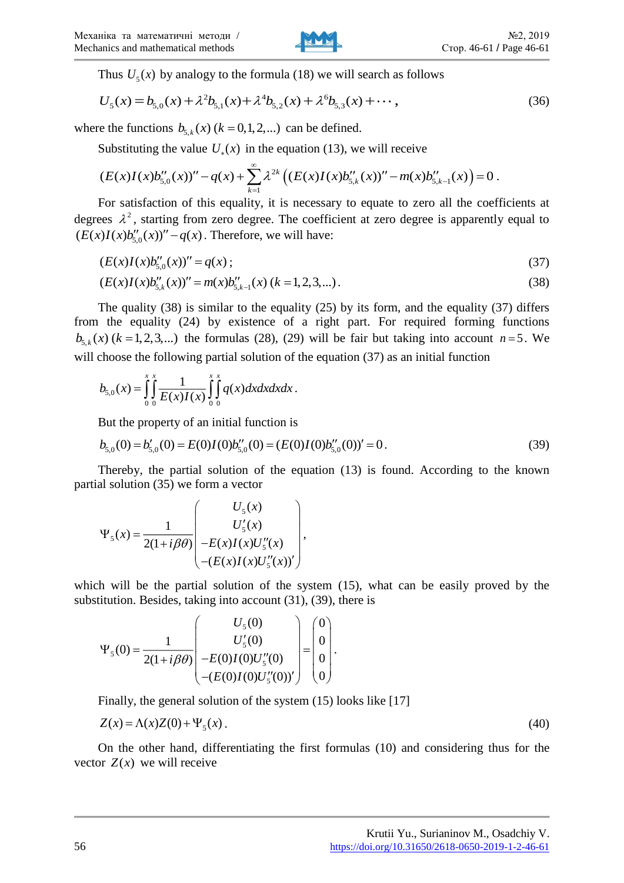

Thus  $U_5(x)$  by analogy to the formula (18) we will search as follows<br> $U_5(x) = b_{5.0}(x) + \lambda^2 b_{5.1}(x) + \lambda^4 b_{5.2}(x) + \lambda^6 b_{5.3}(x) + \cdots$ .

Thus 
$$
U_5(x)
$$
 by analogy to the formula (18) we will search as follows  
\n
$$
U_5(x) = b_{5,0}(x) + \lambda^2 b_{5,1}(x) + \lambda^4 b_{5,2}(x) + \lambda^6 b_{5,3}(x) + \cdots,
$$
\n(36)

where the functions  $b_{5,k}(x)$  ( $k = 0,1,2,...$ ) can be defined.

Substituting the value  $U_*(x)$  in the equation (13), we will receive

$$
(E(x)I(x)b''_{5,0}(x))''-q(x)+\sum_{k=1}^{\infty}\lambda^{2k}\left((E(x)I(x)b''_{5,k}(x))''-m(x)b''_{5,k-1}(x)\right)=0.
$$

For satisfaction of this equality, it is necessary to equate to zero all the coefficients at degrees  $\lambda^2$ , starting from zero degree. The coefficient at zero degree is apparently equal to  $(E(x)I(x)b''_{50}(x))''-q(x)$ . Therefore, we will have:

$$
(E(x)I(x)b''_{5,0}(x))'' = q(x) \tag{37}
$$

$$
(E(x)I(x)b''_{5,k}(x))'' = m(x)b''_{5,k-1}(x) (k=1,2,3,...).
$$
\n(38)

The quality (38) is similar to the equality (25) by its form, and the equality (37) differs from the equality (24) by existence of a right part. For required forming functions  $b_{5,k}(x)$  ( $k = 1, 2, 3,...$ ) the formulas (28), (29) will be fair but taking into account  $n = 5$ . We will choose the following partial solution of the equation (37) as an initial function

$$
b_{5,0}(x) = \int_{0}^{x} \int_{0}^{x} \frac{1}{E(x)I(x)} \int_{0}^{x} \int_{0}^{x} q(x) dx dx dx dx.
$$

But the property of an initial function is

$$
b_{5,0}(0) = b'_{5,0}(0) = E(0)I(0)b''_{5,0}(0) = (E(0)I(0)b''_{5,0}(0))' = 0.
$$
\n(39)

Thereby, the partial solution of the equation (13) is found. According to the known partial solution (35) we form a vector

$$
\Psi_{5}(x) = \frac{1}{2(1+i\beta\theta)} \begin{pmatrix} U_{5}(x) \\ U'_{5}(x) \\ -E(x)I(x)U''_{5}(x) \\ -(E(x)I(x)U''_{5}(x))' \end{pmatrix},
$$

which will be the partial solution of the system (15), what can be easily proved by the substitution. Besides, taking into account (31), (39), there is

$$
\Psi_{5}(0) = \frac{1}{2(1+i\beta\theta)} \begin{bmatrix} U_{5}(0) \\ U'_{5}(0) \\ -E(0)I(0)U'_{5}(0) \\ -(E(0)I(0)U'_{5}(0))' \end{bmatrix} = \begin{bmatrix} 0 \\ 0 \\ 0 \\ 0 \end{bmatrix}.
$$

Finally, the general solution of the system (15) looks like [17]

$$
Z(x) = \Lambda(x)Z(0) + \Psi_5(x) \tag{40}
$$

On the other hand, differentiating the first formulas (10) and considering thus for the vector  $Z(x)$  we will receive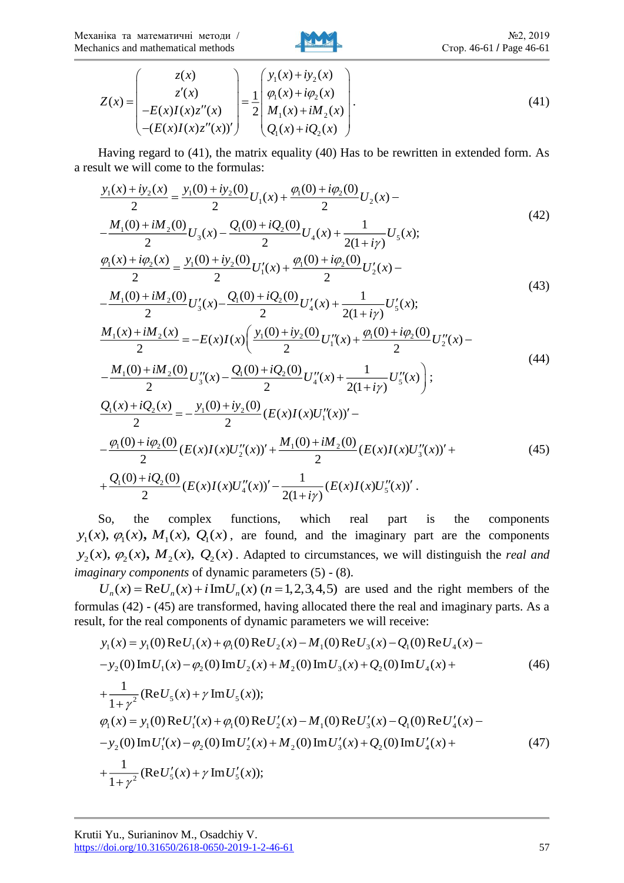Механіка та математичні методи / Mechanics and mathematical methods



$$
Z(x) = \begin{pmatrix} z(x) \\ z'(x) \\ -E(x)I(x)z''(x) \\ -(E(x)I(x)z''(x))' \end{pmatrix} = \frac{1}{2} \begin{pmatrix} y_1(x) + iy_2(x) \\ \varphi_1(x) + i\varphi_2(x) \\ M_1(x) + iM_2(x) \\ Q_1(x) + iQ_2(x) \end{pmatrix}.
$$
 (41)

Having regard to (41), the matrix equality (40) Has to be rewritten in extended form. As a result we will come to the formulas:

$$
\frac{y_1(x)+iy_2(x)}{2} = \frac{y_1(0)+iy_2(0)}{2}U_1(x) + \frac{\varphi_1(0)+i\varphi_2(0)}{2}U_2(x) - \frac{M_1(0)+iM_2(0)}{2}U_3(x) - \frac{Q_1(0)+iQ_2(0)}{2}U_4(x) + \frac{1}{2(1+i\gamma)}U_5(x);
$$
\n(42)  
\n
$$
\frac{\varphi_1(x)+i\varphi_2(x)}{2} = \frac{y_1(0)+iy_2(0)}{2}U_1'(x) + \frac{\varphi_1(0)+i\varphi_2(0)}{2}U_2'(x) - \frac{M_1(0)+iM_2(0)}{2}U_3'(x) - \frac{Q_1(0)+iQ_2(0)}{2}U_4'(x) + \frac{1}{2(1+i\gamma)}U_5'(x);
$$
\n(43)  
\n
$$
\frac{M_1(x)+iM_2(x)}{2} = -E(x)I(x)\left(\frac{y_1(0)+iy_2(0)}{2}U_1''(x) + \frac{\varphi_1(0)+i\varphi_2(0)}{2}U_2''(x) - \frac{M_1(0)+iM_2(0)}{2}U_3''(x) - \frac{Q_1(0)+iQ_2(0)}{2}U_4''(x) + \frac{1}{2(1+i\gamma)}U_5''(x)\right);
$$
\n(44)  
\n
$$
\frac{Q_1(x)+iQ_2(x)}{2} = -\frac{y_1(0)+iy_2(0)}{2}(E(x)I(x)U_1''(x))' - \frac{\varphi_1(0)+i\varphi_2(0)}{2}(E(x)I(x)U_3''(x))' + \frac{M_1(0)+iM_2(0)}{2}(E(x)I(x)U_3''(x))' + \frac{Q_1(0)+iQ_2(0)}{2}(E(x)I(x)U_4''(x))' - \frac{1}{2(1+i\gamma)}(E(x)I(x)U_3''(x))'.
$$
\n(45)

So, the complex functions, which real part is the components  $y_1(x), \varphi_1(x), M_1(x), Q_1(x)$ , are found, and the imaginary part are the components  $y_2(x)$ ,  $\varphi_2(x)$ ,  $M_2(x)$ ,  $Q_2(x)$ . Adapted to circumstances, we will distinguish the *real and imaginary components* of dynamic parameters (5) - (8).

 $U_n(x) = \text{Re} U_n(x) + i \text{Im} U_n(x)$  ( $n = 1,2,3,4,5$ ) are used and the right members of the formulas (42) - (45) are transformed, having allocated there the real and imaginary parts. As a result, for the real components of dynamic parameters we will receive:

$$
y_1(x) = y_1(0) \text{Re} U_1(x) + \varphi_1(0) \text{Re} U_2(x) - M_1(0) \text{Re} U_3(x) - Q_1(0) \text{Re} U_4(x) -
$$
  
\n
$$
-y_2(0) \text{Im} U_1(x) - \varphi_2(0) \text{Im} U_2(x) + M_2(0) \text{Im} U_3(x) + Q_2(0) \text{Im} U_4(x) +
$$
  
\n
$$
+ \frac{1}{1 + \gamma^2} (\text{Re} U_5(x) + \gamma \text{Im} U_5(x));
$$
  
\n
$$
\varphi_1(x) = y_1(0) \text{Re} U_1'(x) + \varphi_1(0) \text{Re} U_2'(x) - M_1(0) \text{Re} U_3'(x) - Q_1(0) \text{Re} U_4'(x) -
$$
  
\n
$$
-y_2(0) \text{Im} U_1'(x) - \varphi_2(0) \text{Im} U_2'(x) + M_2(0) \text{Im} U_3'(x) + Q_2(0) \text{Im} U_4'(x) +
$$
  
\n
$$
+ \frac{1}{1 + \gamma^2} (\text{Re} U_5'(x) + \gamma \text{Im} U_5'(x));
$$
  
\n(47)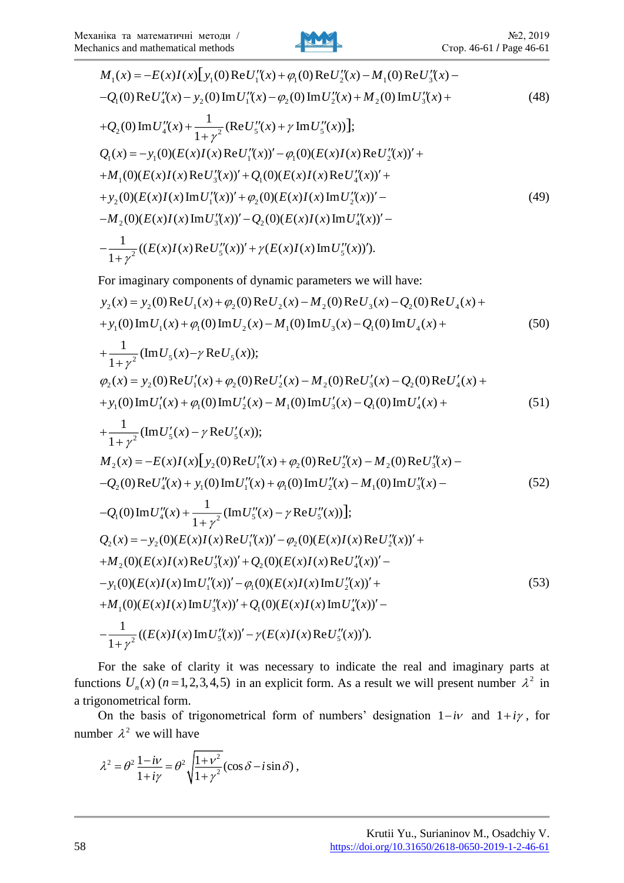

$$
M_{1}(x) = -E(x)I(x)\left[y_{1}(0)ReU_{1}''(x) + \varphi_{1}(0)ReU_{2}''(x) - M_{1}(0)ReU_{3}''(x) -
$$
  
\n
$$
-Q_{1}(0)ReU_{4}''(x) - y_{2}(0)ImU_{1}''(x) - \varphi_{2}(0)ImU_{2}''(x) + M_{2}(0)ImU_{3}''(x) +
$$
  
\n
$$
+Q_{2}(0)ImU_{4}''(x) + \frac{1}{1+\gamma^{2}}(ReU_{5}''(x) + \gamma ImU_{5}''(x))\right];
$$
  
\n
$$
Q_{1}(x) = -y_{1}(0)(E(x)I(x)ReU_{1}''(x))' - \varphi_{1}(0)(E(x)I(x)ReU_{2}''(x))' +
$$
  
\n
$$
+M_{1}(0)(E(x)I(x)ReU_{3}''(x))' + Q_{1}(0)(E(x)I(x)ReU_{4}''(x))' +
$$
  
\n
$$
+y_{2}(0)(E(x)I(x)ImU_{1}''(x))' + \varphi_{2}(0)(E(x)I(x)ImU_{2}''(x))' -
$$
  
\n
$$
-M_{2}(0)(E(x)I(x)ImU_{3}''(x))' - Q_{2}(0)(E(x)I(x)ImU_{4}''(x))' -
$$
  
\n
$$
-\frac{1}{1+\gamma^{2}}((E(x)I(x)ReU_{5}''(x))' + \gamma(E(x)I(x)ImU_{5}''(x))').
$$
  
\n(49)

For imaginary components of dynamic parameters we will have:

$$
y_2(x) = y_2(0) \operatorname{Re} U_1(x) + \varphi_2(0) \operatorname{Re} U_2(x) - M_2(0) \operatorname{Re} U_3(x) - Q_2(0) \operatorname{Re} U_4(x) ++ y_1(0) \operatorname{Im} U_1(x) + \varphi_1(0) \operatorname{Im} U_2(x) - M_1(0) \operatorname{Im} U_3(x) - Q_1(0) \operatorname{Im} U_4(x) +
$$
(50)

+
$$
\frac{1}{1+\gamma^2}
$$
(Im  $U_5(x)-\gamma$  Re  $U_5(x)$ );  
\n $\varphi_2(x) = y_2(0) \text{Re} U'_1(x) + \varphi_2(0) \text{Re} U'_2(x) - M_2(0) \text{Re} U'_3(x) - Q_2(0) \text{Re} U'_4(x) +$ 

+
$$
y_1(0)
$$
Im $U'_1(x)$ + $\varphi_1(0)$ Im $U'_2(x)$ - $M_1(0)$ Im $U'_3(x)$ - $Q_1(0)$ Im $U'_4(x)$ +  
(51)

$$
+\frac{1}{1+\gamma^2}(\text{Im}U'_{5}(x)-\gamma \text{Re}U'_{5}(x));
$$
  
\n
$$
M_{2}(x) = -E(x)I(x)[y_{2}(0)\text{Re}U''_{1}(x)+\varphi_{2}(0)\text{Re}U''_{2}(x)-M_{2}(0)\text{Re}U''_{3}(x)-
$$
  
\n
$$
-Q_{2}(0)\text{Re}U''_{4}(x)+y_{1}(0)\text{Im}U''_{1}(x)+\varphi_{1}(0)\text{Im}U''_{2}(x)-M_{1}(0)\text{Im}U''_{3}(x)-
$$
  
\n
$$
-Q_{1}(0)\text{Im}U''_{4}(x)+\frac{1}{1+\gamma^{2}}(\text{Im}U''_{5}(x)-\gamma \text{Re}U''_{5}(x))];
$$
  
\n
$$
Q_{2}(x) = -y_{2}(0)(E(x)I(x)\text{Re}U''_{1}(x))'-\varphi_{2}(0)(E(x)I(x)\text{Re}U''_{2}(x))'+
$$

$$
-Q_{1}(0)\operatorname{Im}U''_{4}(x) + \frac{1}{1+\gamma^{2}}(\operatorname{Im}U''_{5}(x) - \gamma \operatorname{Re}U''_{5}(x))];
$$
  
\n
$$
Q_{2}(x) = -y_{2}(0)(E(x)I(x)\operatorname{Re}U''_{1}(x))' - \varphi_{2}(0)(E(x)I(x)\operatorname{Re}U''_{2}(x))' +
$$
  
\n
$$
+M_{2}(0)(E(x)I(x)\operatorname{Re}U''_{3}(x))' + Q_{2}(0)(E(x)I(x)\operatorname{Re}U''_{4}(x))' -
$$
  
\n
$$
-y_{1}(0)(E(x)I(x)\operatorname{Im}U''_{1}(x))' - \varphi_{1}(0)(E(x)I(x)\operatorname{Im}U''_{2}(x))' +
$$
  
\n
$$
+M_{1}(0)(E(x)I(x)\operatorname{Im}U''_{3}(x))' + Q_{1}(0)(E(x)I(x)\operatorname{Im}U''_{4}(x))' -
$$
  
\n
$$
-\frac{1}{1+\gamma^{2}}((E(x)I(x)\operatorname{Im}U''_{5}(x))' - \gamma(E(x)I(x)\operatorname{Re}U''_{5}(x))').
$$
  
\n(53)

For the sake of clarity it was necessary to indicate the real and imaginary parts at functions  $U_n(x)$  ( $n = 1, 2, 3, 4, 5$ ) in an explicit form. As a result we will present number  $\lambda^2$  in a trigonometrical form.

On the basis of trigonometrical form of numbers' designation  $1 - i\nu$  and  $1 + i\nu$ , for number  $\lambda^2$  we will have

$$
\lambda^2 = \theta^2 \frac{1 - i\nu}{1 + i\gamma} = \theta^2 \sqrt{\frac{1 + \nu^2}{1 + \gamma^2}} (\cos \delta - i \sin \delta),
$$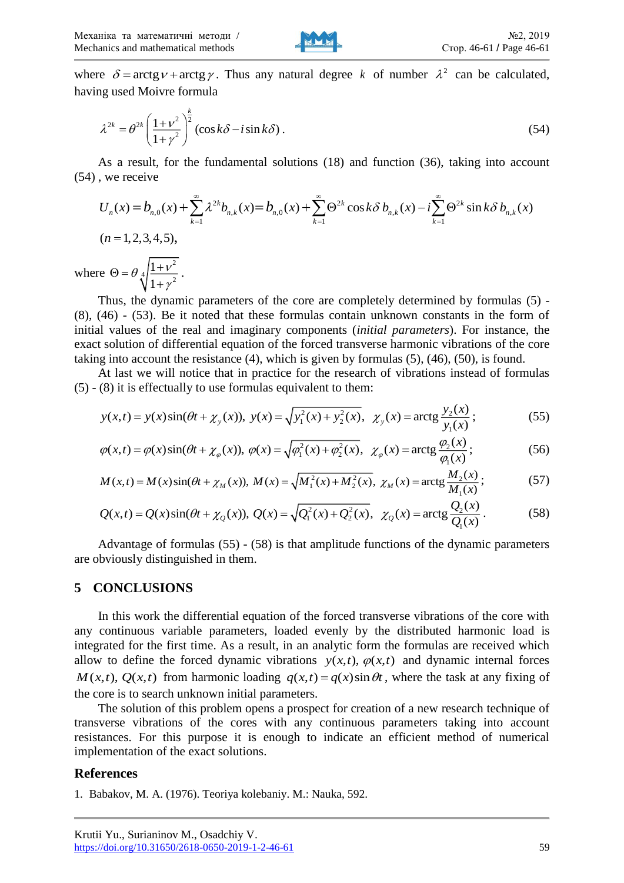

where  $\delta = \arctg v + \arctg \gamma$ . Thus any natural degree k of number  $\lambda^2$  can be calculated, having used Moivre formula

$$
\lambda^{2k} = \theta^{2k} \left( \frac{1 + \nu^2}{1 + \gamma^2} \right)^{\frac{k}{2}} (\cos k\delta - i \sin k\delta). \tag{54}
$$

As a result, for the fundamental solutions (18) and function (36), taking into account (54) , we receive

$$
U_n(x) = b_{n,0}(x) + \sum_{k=1}^{\infty} \lambda^{2k} b_{n,k}(x) = b_{n,0}(x) + \sum_{k=1}^{\infty} \Theta^{2k} \cos k\delta b_{n,k}(x) - i \sum_{k=1}^{\infty} \Theta^{2k} \sin k\delta b_{n,k}(x)
$$
  
(*n* = 1, 2, 3, 4, 5),  
where  $\Theta = \theta \sqrt[4]{\frac{1 + v^2}{1 + \gamma^2}}$ .

Thus, the dynamic parameters of the core are completely determined by formulas (5) - (8), (46) - (53). Be it noted that these formulas contain unknown constants in the form of initial values of the real and imaginary components (*initial parameters*). For instance, the exact solution of differential equation of the forced transverse harmonic vibrations of the core taking into account the resistance (4), which is given by formulas (5), (46), (50), is found.

At last we will notice that in practice for the research of vibrations instead of formulas (5) - (8) it is effectually to use formulas equivalent to them:

$$
y(x,t) = y(x)\sin(\theta t + \chi_y(x)), \ y(x) = \sqrt{y_1^2(x) + y_2^2(x)}, \ \ \chi_y(x) = \arctg\frac{y_2(x)}{y_1(x)}; \tag{55}
$$

$$
\varphi(x,t) = \varphi(x)\sin(\theta t + \chi_{\varphi}(x)), \ \varphi(x) = \sqrt{\varphi_1^2(x) + \varphi_2^2(x)}, \ \ \chi_{\varphi}(x) = \arctg\frac{\varphi_2(x)}{\varphi_1(x)};
$$
\n<sup>(56)</sup>

$$
M(x,t) = M(x)\sin(\theta t + \chi_M(x)), \ M(x) = \sqrt{M_1^2(x) + M_2^2(x)}, \ \chi_M(x) = \arctg\frac{M_2(x)}{M_1(x)}; \tag{57}
$$

$$
M(x,t) = M(x)\sin(\theta t + \chi_M(x)), \quad M(x) = \sqrt{M_1^2(x) + M_2^2(x)}, \quad \chi_M(x) = \arctg \frac{M_2(x)}{M_1(x)}; \tag{57}
$$
\n
$$
Q(x,t) = Q(x)\sin(\theta t + \chi_Q(x)), \quad Q(x) = \sqrt{Q_1^2(x) + Q_2^2(x)}, \quad \chi_Q(x) = \arctg \frac{Q_2(x)}{Q_1(x)}.
$$
\n(58)

Advantage of formulas (55) - (58) is that amplitude functions of the dynamic parameters are obviously distinguished in them.

### **5 CONCLUSIONS**

In this work the differential equation of the forced transverse vibrations of the core with any continuous variable parameters, loaded evenly by the distributed harmonic load is integrated for the first time. As a result, in an analytic form the formulas are received which allow to define the forced dynamic vibrations  $y(x,t)$ ,  $\varphi(x,t)$  and dynamic internal forces  $M(x,t)$ ,  $Q(x,t)$  from harmonic loading  $q(x,t) = q(x) \sin \theta t$ , where the task at any fixing of the core is to search unknown initial parameters.

The solution of this problem opens a prospect for creation of a new research technique of transverse vibrations of the cores with any continuous parameters taking into account resistances. For this purpose it is enough to indicate an efficient method of numerical implementation of the exact solutions.

#### **References**

<sup>1.</sup> Babakov, M. A. (1976). Teoriya kolebaniy. M.: Nauka, 592.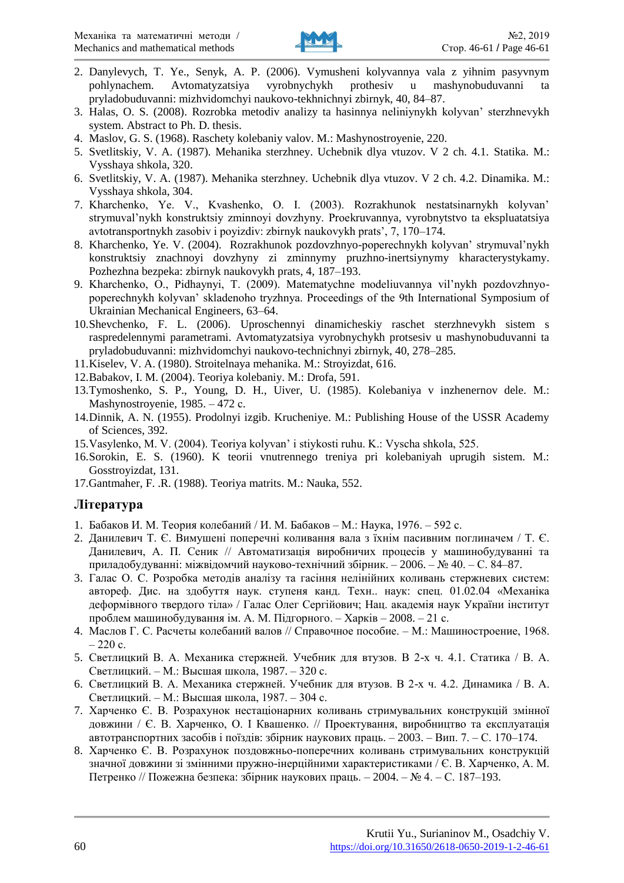

- 2. Danylevych, T. Ye., Senyk, A. P. (2006). Vymusheni kolyvannya vala z yihnim pasyvnym pohlynachem. Avtomatyzatsiya vyrobnychykh prothesiy u mashynobuduvanni pryladobuduvanni: mizhvidomchyi naukovo-tekhnichnyi zbirnyk, 40, 84–87.
- 3. Halas, O. S. (2008). Rozrobka metodiv analizy ta hasinnya neliniynykh kolyvan' sterzhnevykh system. Abstract to Ph. D. thesis.
- 4. Maslov, G. S. (1968). Raschety kolebaniy valov. M.: Mashynostroyenie, 220.
- 5. Svetlitskiy, V. A. (1987). Mehanika sterzhney. Uchebnik dlya vtuzov. V 2 ch. 4.1. Statika. M.: Vysshaya shkola, 320.
- 6. Svetlitskiy, V. A. (1987). Mehanika sterzhney. Uchebnik dlya vtuzov. V 2 ch. 4.2. Dinamika. M.: Vysshaya shkola, 304.
- 7. Kharchenko, Ye. V., Kvashenko, O. I. (2003). Rozrakhunok nestatsinarnykh kolyvan' strymuval'nykh konstruktsiy zminnoyi dovzhyny. Proekruvannya, vyrobnytstvo ta ekspluatatsiya avtotransportnykh zasobiv i poyizdiv: zbirnyk naukovykh prats', 7, 170–174.
- 8. Kharchenko, Ye. V. (2004). Rozrakhunok pozdovzhnyo-poperechnykh kolyvan' strymuval'nykh konstruktsiy znachnoyi dovzhyny zi zminnymy pruzhno-inertsiynymy kharacterystykamy. Pozhezhna bezpeka: zbirnyk naukovykh prats, 4, 187–193.
- 9. Kharchenko, O., Pidhaynyi, T. (2009). Matematychne modeliuvannya vil'nykh pozdovzhnyopoperechnykh kolyvan' skladenoho tryzhnya. Proceedings of the 9th International Symposium of Ukrainian Mechanical Engineers, 63–64.
- 10.Shevchenko, F. L. (2006). Uproschennyi dinamicheskiy raschet sterzhnevykh sistem s raspredelennymi parametrami. Avtomatyzatsiya vyrobnychykh protsesiv u mashynobuduvanni ta pryladobuduvanni: mizhvidomchyi naukovo-technichnyi zbirnyk, 40, 278–285.
- 11.Kiselev, V. A. (1980). Stroitelnaya mehanika. M.: Stroyizdat, 616.
- 12.Babakov, I. M. (2004). Teoriya kolebaniy. M.: Drofa, 591.
- 13.Tymoshenko, S. P., Young, D. H., Uiver, U. (1985). Kolebaniya v inzhenernov dele. M.: Mashynostroyenie, 1985. – 472 с.
- 14.Dinnik, A. N. (1955). Prodolnyi izgib. Krucheniye. M.: Publishing House of the USSR Academy of Sciences, 392.
- 15.Vasylenko, M. V. (2004). Teoriya kolyvan' i stiykosti ruhu. K.: Vyscha shkola, 525.
- 16.Sorokin, E. S. (1960). K teorii vnutrennego treniya pri kolebaniyah uprugih sistem. M.: Gosstroyizdat, 131.
- 17.Gantmaher, F. .R. (1988). Teoriya matrits. M.: Nauka, 552.

## **Література**

- 1. Бабаков И. М. Теория колебаний / И. М. Бабаков М.: Наука, 1976. 592 с.
- 2. Данилевич Т. Є. Вимушені поперечні коливання вала з їхнім пасивним поглиначем / Т. Є. Данилевич, А. П. Сеник // Автоматизація виробничих процесів у машинобудуванні та приладобудуванні: міжвідомчий науково-технічний збірник. – 2006. – № 40. – С. 84–87.
- 3. Галас О. С. Розробка методів аналізу та гасіння нелінійних коливань стержневих систем: автореф. Дис. на здобуття наук. ступеня канд. Техн.. наук: спец. 01.02.04 «Механіка деформівного твердого тіла» / Галас Олег Сергійович; Нац. академія наук України інститут проблем машинобудування ім. А. М. Підгорного. – Харків – 2008. – 21 с.
- 4. Маслов Г. С. Расчеты колебаний валов // Справочное пособие. М.: Машиностроение, 1968.  $-220 c$
- 5. Светлицкий В. А. Механика стержней. Учебник для втузов. В 2-х ч. 4.1. Статика / В. А. Светлицкий. – М.: Высшая школа, 1987. – 320 с.
- 6. Светлицкий В. А. Механика стержней. Учебник для втузов. В 2-х ч. 4.2. Динамика / В. А. Светлицкий. – М.: Высшая школа, 1987. – 304 с.
- 7. Харченко Є. В. Розрахунок нестаціонарних коливань стримувальних конструкцій змінної довжини / Є. В. Харченко, О. І Квашенко. // Проектування, виробництво та експлуатація автотранспортних засобів і поїздів: збірник наукових праць. – 2003. – Вип. 7. – С. 170–174.
- 8. Харченко Є. В. Розрахунок поздовжньо-поперечних коливань стримувальних конструкцій значної довжини зі змінними пружно-інерційними характеристиками / Є. В. Харченко, А. М. Петренко // Пожежна безпека: збірник наукових праць. – 2004. – № 4. – С. 187–193.